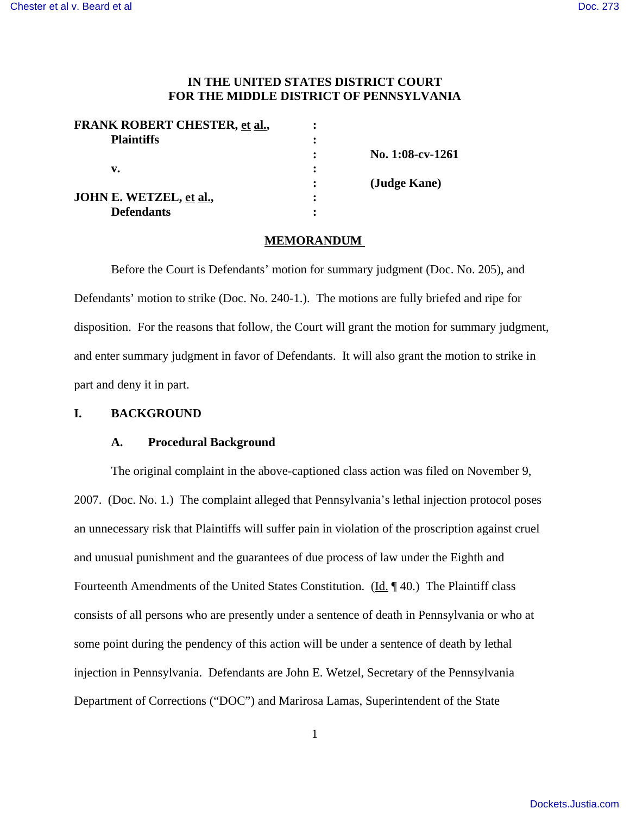# **IN THE UNITED STATES DISTRICT COURT FOR THE MIDDLE DISTRICT OF PENNSYLVANIA**

| <b>FRANK ROBERT CHESTER, et al.,</b> |                  |
|--------------------------------------|------------------|
| <b>Plaintiffs</b>                    |                  |
|                                      | No. 1:08-cv-1261 |
| v.                                   |                  |
|                                      | (Judge Kane)     |
| JOHN E. WETZEL, et al.,              |                  |
| <b>Defendants</b>                    |                  |
|                                      |                  |

#### **MEMORANDUM**

Before the Court is Defendants' motion for summary judgment (Doc. No. 205), and Defendants' motion to strike (Doc. No. 240-1.). The motions are fully briefed and ripe for disposition. For the reasons that follow, the Court will grant the motion for summary judgment, and enter summary judgment in favor of Defendants. It will also grant the motion to strike in part and deny it in part.

# **I. BACKGROUND**

## **A. Procedural Background**

The original complaint in the above-captioned class action was filed on November 9, 2007. (Doc. No. 1.) The complaint alleged that Pennsylvania's lethal injection protocol poses an unnecessary risk that Plaintiffs will suffer pain in violation of the proscription against cruel and unusual punishment and the guarantees of due process of law under the Eighth and Fourteenth Amendments of the United States Constitution. (Id. ¶ 40.) The Plaintiff class consists of all persons who are presently under a sentence of death in Pennsylvania or who at some point during the pendency of this action will be under a sentence of death by lethal injection in Pennsylvania. Defendants are John E. Wetzel, Secretary of the Pennsylvania Department of Corrections ("DOC") and Marirosa Lamas, Superintendent of the State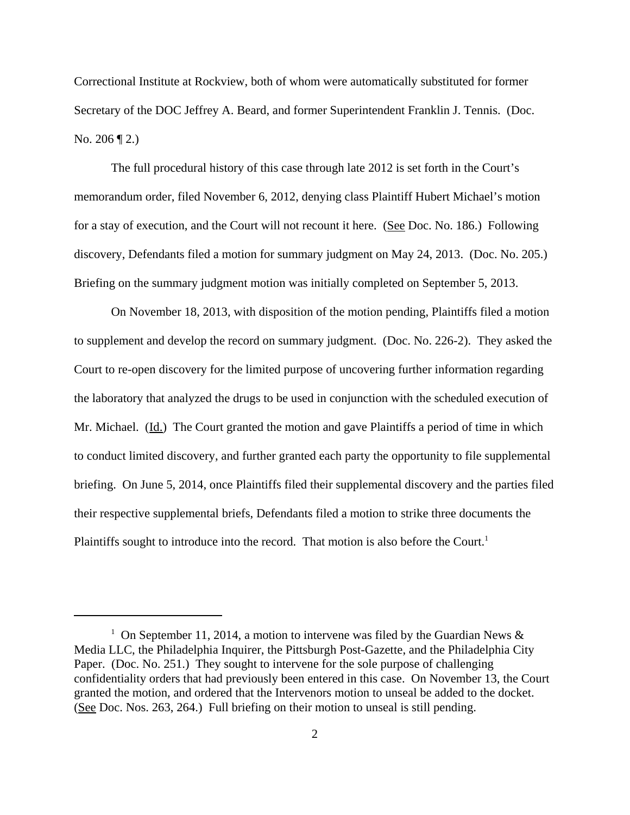Correctional Institute at Rockview, both of whom were automatically substituted for former Secretary of the DOC Jeffrey A. Beard, and former Superintendent Franklin J. Tennis. (Doc. No. 206 ¶ 2.)

The full procedural history of this case through late 2012 is set forth in the Court's memorandum order, filed November 6, 2012, denying class Plaintiff Hubert Michael's motion for a stay of execution, and the Court will not recount it here. (See Doc. No. 186.) Following discovery, Defendants filed a motion for summary judgment on May 24, 2013. (Doc. No. 205.) Briefing on the summary judgment motion was initially completed on September 5, 2013.

On November 18, 2013, with disposition of the motion pending, Plaintiffs filed a motion to supplement and develop the record on summary judgment. (Doc. No. 226-2). They asked the Court to re-open discovery for the limited purpose of uncovering further information regarding the laboratory that analyzed the drugs to be used in conjunction with the scheduled execution of Mr. Michael. (Id.) The Court granted the motion and gave Plaintiffs a period of time in which to conduct limited discovery, and further granted each party the opportunity to file supplemental briefing. On June 5, 2014, once Plaintiffs filed their supplemental discovery and the parties filed their respective supplemental briefs, Defendants filed a motion to strike three documents the Plaintiffs sought to introduce into the record. That motion is also before the Court.<sup>1</sup>

<sup>&</sup>lt;sup>1</sup> On September 11, 2014, a motion to intervene was filed by the Guardian News  $\&$ Media LLC, the Philadelphia Inquirer, the Pittsburgh Post-Gazette, and the Philadelphia City Paper. (Doc. No. 251.) They sought to intervene for the sole purpose of challenging confidentiality orders that had previously been entered in this case. On November 13, the Court granted the motion, and ordered that the Intervenors motion to unseal be added to the docket. (See Doc. Nos. 263, 264.) Full briefing on their motion to unseal is still pending.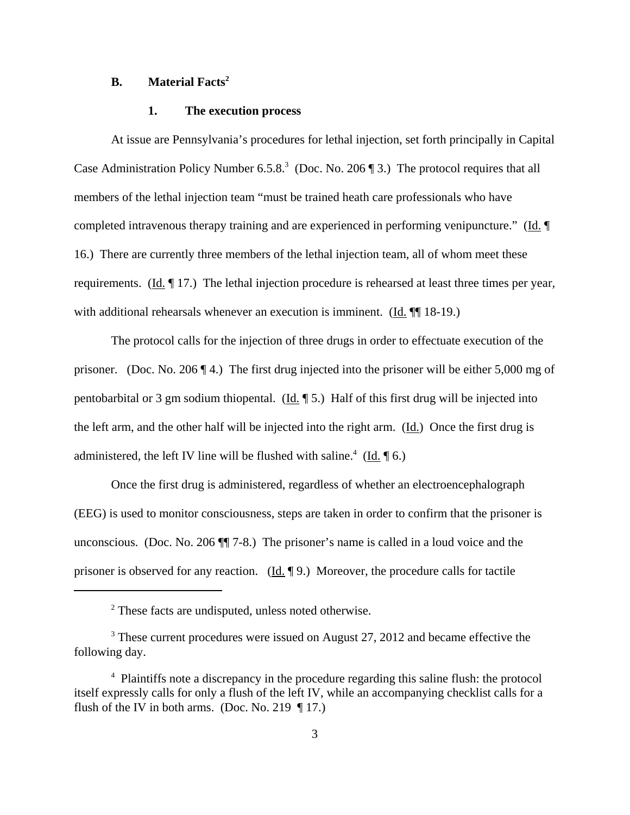# **B. Material Facts<sup>2</sup>**

#### **1. The execution process**

At issue are Pennsylvania's procedures for lethal injection, set forth principally in Capital Case Administration Policy Number 6.5.8.<sup>3</sup> (Doc. No. 206  $\P$  3.) The protocol requires that all members of the lethal injection team "must be trained heath care professionals who have completed intravenous therapy training and are experienced in performing venipuncture." (Id. ¶ 16.) There are currently three members of the lethal injection team, all of whom meet these requirements. (Id. 17.) The lethal injection procedure is rehearsed at least three times per year, with additional rehearsals whenever an execution is imminent. (Id.  $\P$ [18-19.)

The protocol calls for the injection of three drugs in order to effectuate execution of the prisoner. (Doc. No. 206 ¶ 4.) The first drug injected into the prisoner will be either 5,000 mg of pentobarbital or 3 gm sodium thiopental. (Id. ¶ 5.) Half of this first drug will be injected into the left arm, and the other half will be injected into the right arm. (Id.) Once the first drug is administered, the left IV line will be flushed with saline.<sup>4</sup> (Id.  $\oint$  6.)

Once the first drug is administered, regardless of whether an electroencephalograph (EEG) is used to monitor consciousness, steps are taken in order to confirm that the prisoner is unconscious. (Doc. No. 206 ¶¶ 7-8.) The prisoner's name is called in a loud voice and the prisoner is observed for any reaction.  $(\underline{Id}, \P \ 9)$ . Moreover, the procedure calls for tactile

<sup>&</sup>lt;sup>2</sup> These facts are undisputed, unless noted otherwise.

<sup>&</sup>lt;sup>3</sup> These current procedures were issued on August 27, 2012 and became effective the following day.

<sup>&</sup>lt;sup>4</sup> Plaintiffs note a discrepancy in the procedure regarding this saline flush: the protocol itself expressly calls for only a flush of the left IV, while an accompanying checklist calls for a flush of the IV in both arms. (Doc. No. 219  $\P$  17.)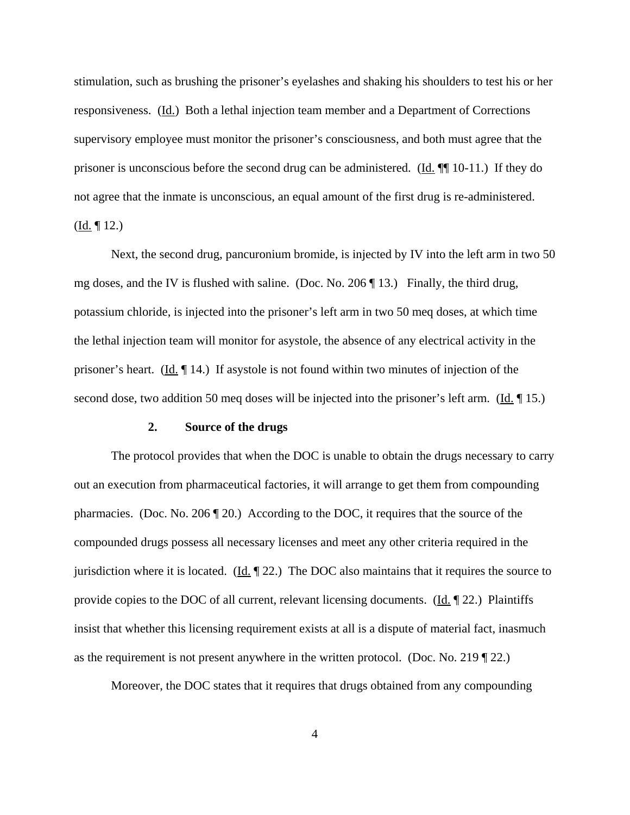stimulation, such as brushing the prisoner's eyelashes and shaking his shoulders to test his or her responsiveness. (Id.) Both a lethal injection team member and a Department of Corrections supervisory employee must monitor the prisoner's consciousness, and both must agree that the prisoner is unconscious before the second drug can be administered. (Id. ¶¶ 10-11.) If they do not agree that the inmate is unconscious, an equal amount of the first drug is re-administered.  $(\underline{Id.} \P 12.)$ 

Next, the second drug, pancuronium bromide, is injected by IV into the left arm in two 50 mg doses, and the IV is flushed with saline. (Doc. No. 206 ¶ 13.) Finally, the third drug, potassium chloride, is injected into the prisoner's left arm in two 50 meq doses, at which time the lethal injection team will monitor for asystole, the absence of any electrical activity in the prisoner's heart. (Id. ¶ 14.) If asystole is not found within two minutes of injection of the second dose, two addition 50 meq doses will be injected into the prisoner's left arm. (Id.  $\parallel$  15.)

#### **2. Source of the drugs**

The protocol provides that when the DOC is unable to obtain the drugs necessary to carry out an execution from pharmaceutical factories, it will arrange to get them from compounding pharmacies. (Doc. No. 206 ¶ 20.) According to the DOC, it requires that the source of the compounded drugs possess all necessary licenses and meet any other criteria required in the jurisdiction where it is located. (Id.  $\parallel$  22.) The DOC also maintains that it requires the source to provide copies to the DOC of all current, relevant licensing documents. (Id. ¶ 22.) Plaintiffs insist that whether this licensing requirement exists at all is a dispute of material fact, inasmuch as the requirement is not present anywhere in the written protocol. (Doc. No. 219 ¶ 22.)

Moreover, the DOC states that it requires that drugs obtained from any compounding

4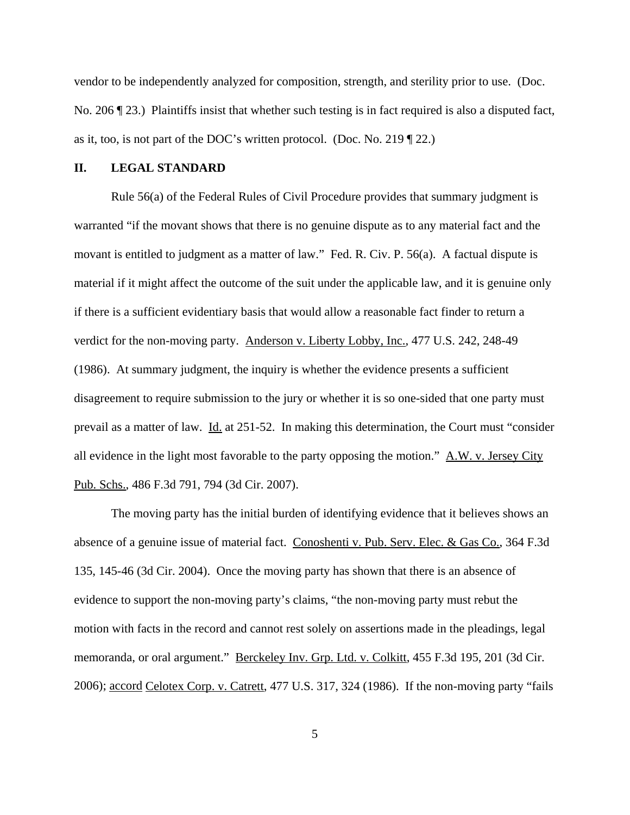vendor to be independently analyzed for composition, strength, and sterility prior to use. (Doc. No. 206 ¶ 23.) Plaintiffs insist that whether such testing is in fact required is also a disputed fact, as it, too, is not part of the DOC's written protocol. (Doc. No. 219 ¶ 22.)

#### **II. LEGAL STANDARD**

Rule 56(a) of the Federal Rules of Civil Procedure provides that summary judgment is warranted "if the movant shows that there is no genuine dispute as to any material fact and the movant is entitled to judgment as a matter of law." Fed. R. Civ. P. 56(a). A factual dispute is material if it might affect the outcome of the suit under the applicable law, and it is genuine only if there is a sufficient evidentiary basis that would allow a reasonable fact finder to return a verdict for the non-moving party. Anderson v. Liberty Lobby, Inc., 477 U.S. 242, 248-49 (1986). At summary judgment, the inquiry is whether the evidence presents a sufficient disagreement to require submission to the jury or whether it is so one-sided that one party must prevail as a matter of law. Id. at 251-52. In making this determination, the Court must "consider all evidence in the light most favorable to the party opposing the motion." A.W. v. Jersey City Pub. Schs., 486 F.3d 791, 794 (3d Cir. 2007).

The moving party has the initial burden of identifying evidence that it believes shows an absence of a genuine issue of material fact. Conoshenti v. Pub. Serv. Elec. & Gas Co., 364 F.3d 135, 145-46 (3d Cir. 2004). Once the moving party has shown that there is an absence of evidence to support the non-moving party's claims, "the non-moving party must rebut the motion with facts in the record and cannot rest solely on assertions made in the pleadings, legal memoranda, or oral argument." Berckeley Inv. Grp. Ltd. v. Colkitt, 455 F.3d 195, 201 (3d Cir. 2006); accord Celotex Corp. v. Catrett, 477 U.S. 317, 324 (1986). If the non-moving party "fails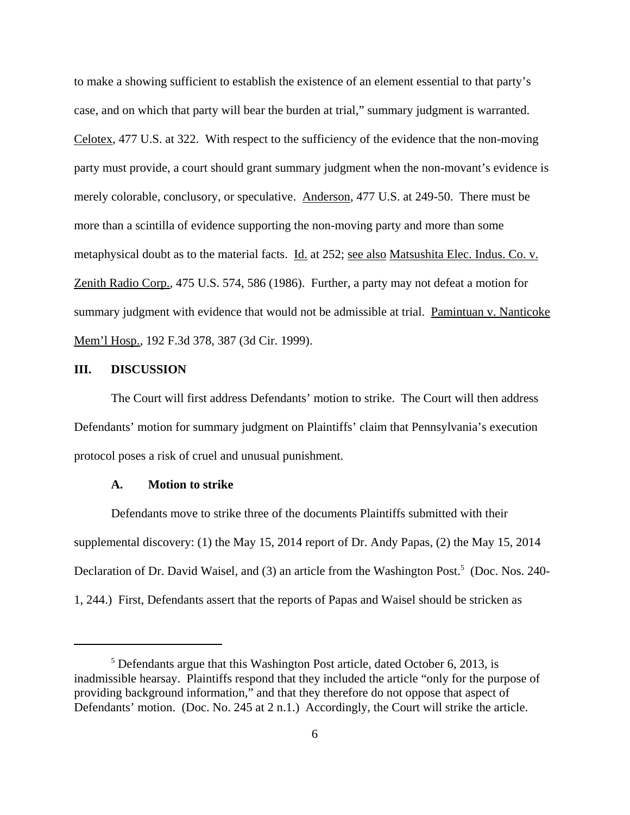to make a showing sufficient to establish the existence of an element essential to that party's case, and on which that party will bear the burden at trial," summary judgment is warranted. Celotex, 477 U.S. at 322. With respect to the sufficiency of the evidence that the non-moving party must provide, a court should grant summary judgment when the non-movant's evidence is merely colorable, conclusory, or speculative. Anderson, 477 U.S. at 249-50. There must be more than a scintilla of evidence supporting the non-moving party and more than some metaphysical doubt as to the material facts. Id. at 252; see also Matsushita Elec. Indus. Co. v. Zenith Radio Corp., 475 U.S. 574, 586 (1986). Further, a party may not defeat a motion for summary judgment with evidence that would not be admissible at trial. Pamintuan v. Nanticoke Mem'l Hosp., 192 F.3d 378, 387 (3d Cir. 1999).

#### **III. DISCUSSION**

The Court will first address Defendants' motion to strike. The Court will then address Defendants' motion for summary judgment on Plaintiffs' claim that Pennsylvania's execution protocol poses a risk of cruel and unusual punishment.

#### **A. Motion to strike**

Defendants move to strike three of the documents Plaintiffs submitted with their supplemental discovery: (1) the May 15, 2014 report of Dr. Andy Papas, (2) the May 15, 2014 Declaration of Dr. David Waisel, and (3) an article from the Washington Post.<sup>5</sup> (Doc. Nos. 240-1, 244.) First, Defendants assert that the reports of Papas and Waisel should be stricken as

<sup>&</sup>lt;sup>5</sup> Defendants argue that this Washington Post article, dated October 6, 2013, is inadmissible hearsay. Plaintiffs respond that they included the article "only for the purpose of providing background information," and that they therefore do not oppose that aspect of Defendants' motion. (Doc. No. 245 at 2 n.1.) Accordingly, the Court will strike the article.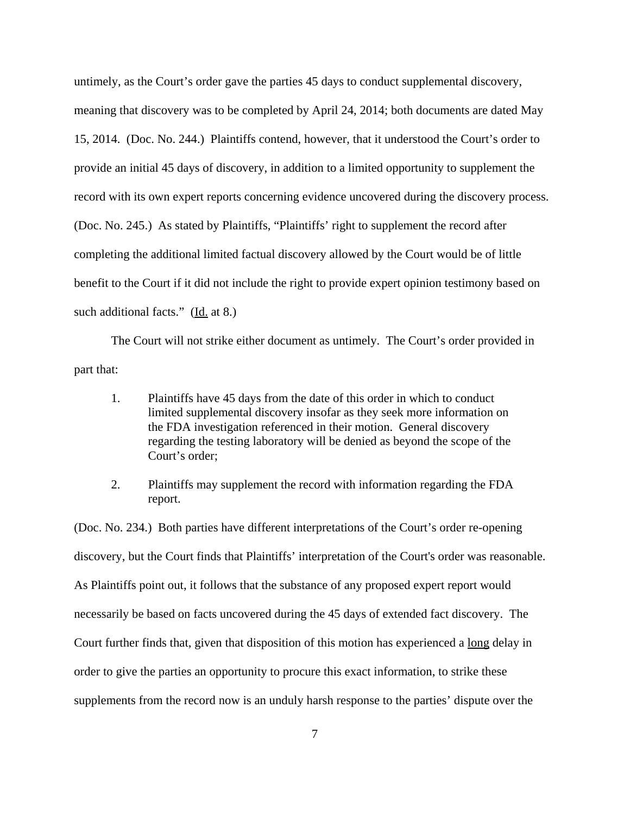untimely, as the Court's order gave the parties 45 days to conduct supplemental discovery, meaning that discovery was to be completed by April 24, 2014; both documents are dated May 15, 2014. (Doc. No. 244.) Plaintiffs contend, however, that it understood the Court's order to provide an initial 45 days of discovery, in addition to a limited opportunity to supplement the record with its own expert reports concerning evidence uncovered during the discovery process. (Doc. No. 245.) As stated by Plaintiffs, "Plaintiffs' right to supplement the record after completing the additional limited factual discovery allowed by the Court would be of little benefit to the Court if it did not include the right to provide expert opinion testimony based on such additional facts." (Id. at 8.)

The Court will not strike either document as untimely. The Court's order provided in part that:

- 1. Plaintiffs have 45 days from the date of this order in which to conduct limited supplemental discovery insofar as they seek more information on the FDA investigation referenced in their motion. General discovery regarding the testing laboratory will be denied as beyond the scope of the Court's order;
- 2. Plaintiffs may supplement the record with information regarding the FDA report.

(Doc. No. 234.) Both parties have different interpretations of the Court's order re-opening discovery, but the Court finds that Plaintiffs' interpretation of the Court's order was reasonable. As Plaintiffs point out, it follows that the substance of any proposed expert report would necessarily be based on facts uncovered during the 45 days of extended fact discovery. The Court further finds that, given that disposition of this motion has experienced a long delay in order to give the parties an opportunity to procure this exact information, to strike these supplements from the record now is an unduly harsh response to the parties' dispute over the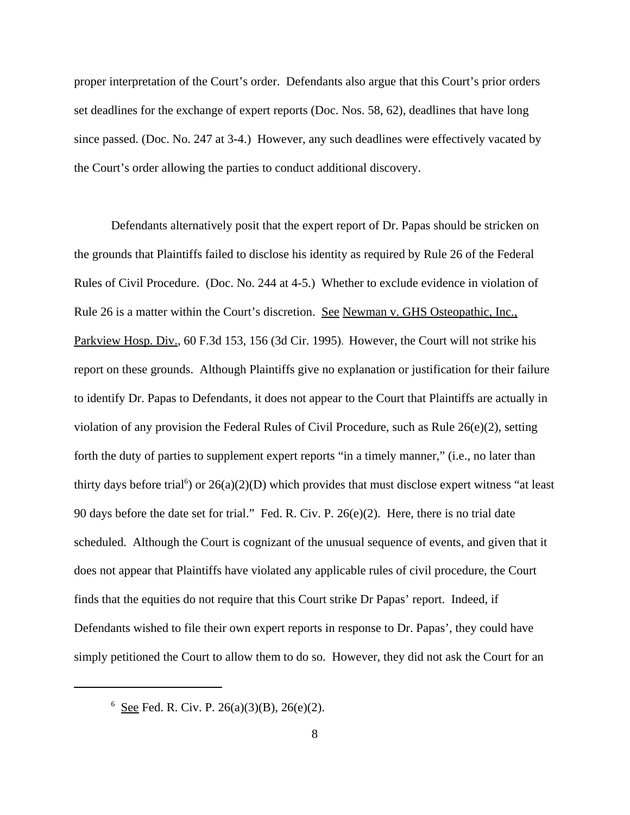proper interpretation of the Court's order. Defendants also argue that this Court's prior orders set deadlines for the exchange of expert reports (Doc. Nos. 58, 62), deadlines that have long since passed. (Doc. No. 247 at 3-4.) However, any such deadlines were effectively vacated by the Court's order allowing the parties to conduct additional discovery.

Defendants alternatively posit that the expert report of Dr. Papas should be stricken on the grounds that Plaintiffs failed to disclose his identity as required by Rule 26 of the Federal Rules of Civil Procedure. (Doc. No. 244 at 4-5.) Whether to exclude evidence in violation of Rule 26 is a matter within the Court's discretion. See Newman v. GHS Osteopathic, Inc., Parkview Hosp. Div., 60 F.3d 153, 156 (3d Cir. 1995). However, the Court will not strike his report on these grounds. Although Plaintiffs give no explanation or justification for their failure to identify Dr. Papas to Defendants, it does not appear to the Court that Plaintiffs are actually in violation of any provision the Federal Rules of Civil Procedure, such as Rule 26(e)(2), setting forth the duty of parties to supplement expert reports "in a timely manner," (i.e., no later than thirty days before trial<sup>6</sup>) or  $26(a)(2)(D)$  which provides that must disclose expert witness "at least 90 days before the date set for trial." Fed. R. Civ. P. 26(e)(2). Here, there is no trial date scheduled. Although the Court is cognizant of the unusual sequence of events, and given that it does not appear that Plaintiffs have violated any applicable rules of civil procedure, the Court finds that the equities do not require that this Court strike Dr Papas' report. Indeed, if Defendants wished to file their own expert reports in response to Dr. Papas', they could have simply petitioned the Court to allow them to do so. However, they did not ask the Court for an

 $6 \text{ See }$  Fed. R. Civ. P. 26(a)(3)(B), 26(e)(2).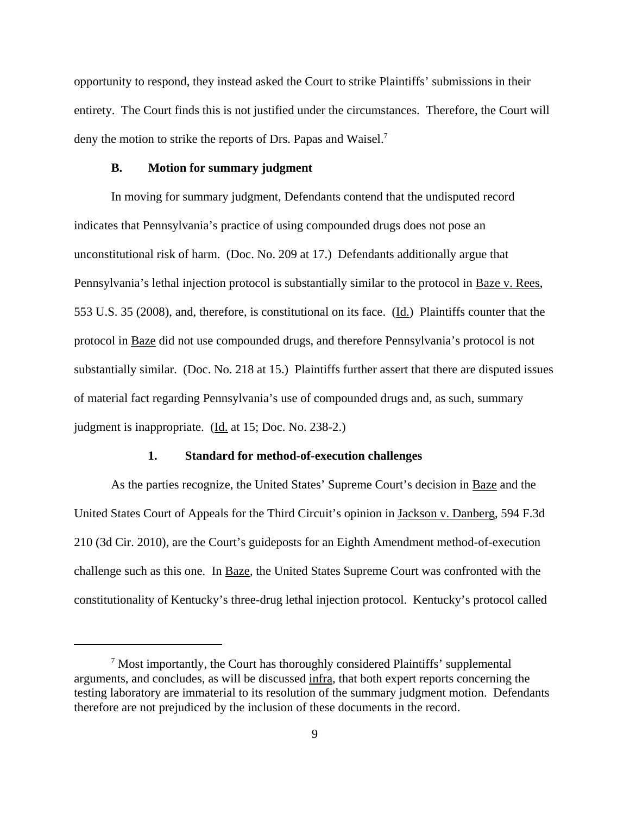opportunity to respond, they instead asked the Court to strike Plaintiffs' submissions in their entirety. The Court finds this is not justified under the circumstances. Therefore, the Court will deny the motion to strike the reports of Drs. Papas and Waisel.<sup>7</sup>

#### **B. Motion for summary judgment**

In moving for summary judgment, Defendants contend that the undisputed record indicates that Pennsylvania's practice of using compounded drugs does not pose an unconstitutional risk of harm. (Doc. No. 209 at 17.) Defendants additionally argue that Pennsylvania's lethal injection protocol is substantially similar to the protocol in Baze v. Rees, 553 U.S. 35 (2008), and, therefore, is constitutional on its face. (Id.) Plaintiffs counter that the protocol in Baze did not use compounded drugs, and therefore Pennsylvania's protocol is not substantially similar. (Doc. No. 218 at 15.) Plaintiffs further assert that there are disputed issues of material fact regarding Pennsylvania's use of compounded drugs and, as such, summary judgment is inappropriate.  $(\underline{Id}$  at 15; Doc. No. 238-2.)

# **1. Standard for method-of-execution challenges**

As the parties recognize, the United States' Supreme Court's decision in Baze and the United States Court of Appeals for the Third Circuit's opinion in Jackson v. Danberg, 594 F.3d 210 (3d Cir. 2010), are the Court's guideposts for an Eighth Amendment method-of-execution challenge such as this one. In Baze, the United States Supreme Court was confronted with the constitutionality of Kentucky's three-drug lethal injection protocol. Kentucky's protocol called

 $7$  Most importantly, the Court has thoroughly considered Plaintiffs' supplemental arguments, and concludes, as will be discussed infra, that both expert reports concerning the testing laboratory are immaterial to its resolution of the summary judgment motion. Defendants therefore are not prejudiced by the inclusion of these documents in the record.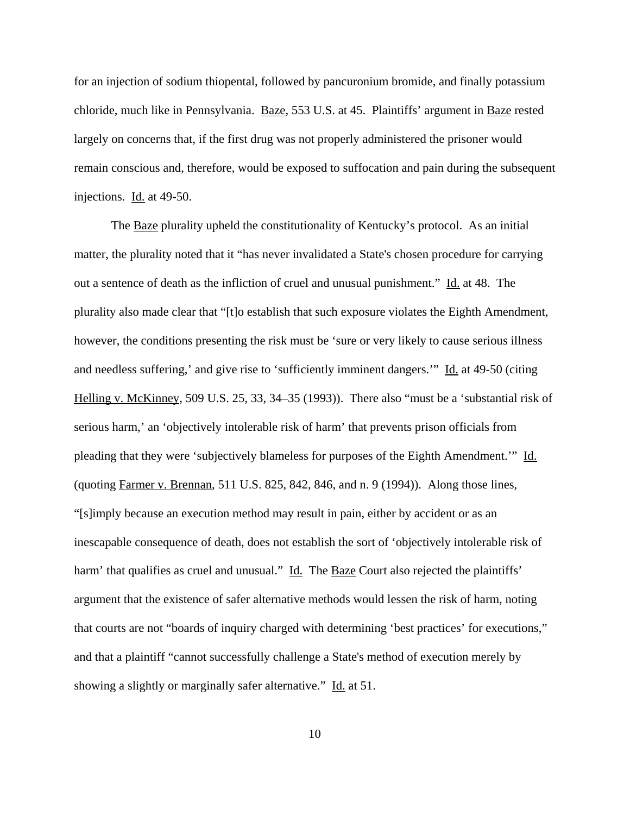for an injection of sodium thiopental, followed by pancuronium bromide, and finally potassium chloride, much like in Pennsylvania. Baze, 553 U.S. at 45. Plaintiffs' argument in Baze rested largely on concerns that, if the first drug was not properly administered the prisoner would remain conscious and, therefore, would be exposed to suffocation and pain during the subsequent injections. Id. at 49-50.

The Baze plurality upheld the constitutionality of Kentucky's protocol. As an initial matter, the plurality noted that it "has never invalidated a State's chosen procedure for carrying out a sentence of death as the infliction of cruel and unusual punishment." Id. at 48. The plurality also made clear that "[t]o establish that such exposure violates the Eighth Amendment, however, the conditions presenting the risk must be 'sure or very likely to cause serious illness and needless suffering,' and give rise to 'sufficiently imminent dangers.'" Id. at 49-50 (citing Helling v. McKinney, 509 U.S. 25, 33, 34–35 (1993)). There also "must be a 'substantial risk of serious harm,' an 'objectively intolerable risk of harm' that prevents prison officials from pleading that they were 'subjectively blameless for purposes of the Eighth Amendment.'" Id. (quoting Farmer v. Brennan, 511 U.S. 825, 842, 846, and n. 9 (1994)). Along those lines, "[s]imply because an execution method may result in pain, either by accident or as an inescapable consequence of death, does not establish the sort of 'objectively intolerable risk of harm' that qualifies as cruel and unusual." Id. The Baze Court also rejected the plaintiffs' argument that the existence of safer alternative methods would lessen the risk of harm, noting that courts are not "boards of inquiry charged with determining 'best practices' for executions," and that a plaintiff "cannot successfully challenge a State's method of execution merely by showing a slightly or marginally safer alternative." Id. at 51.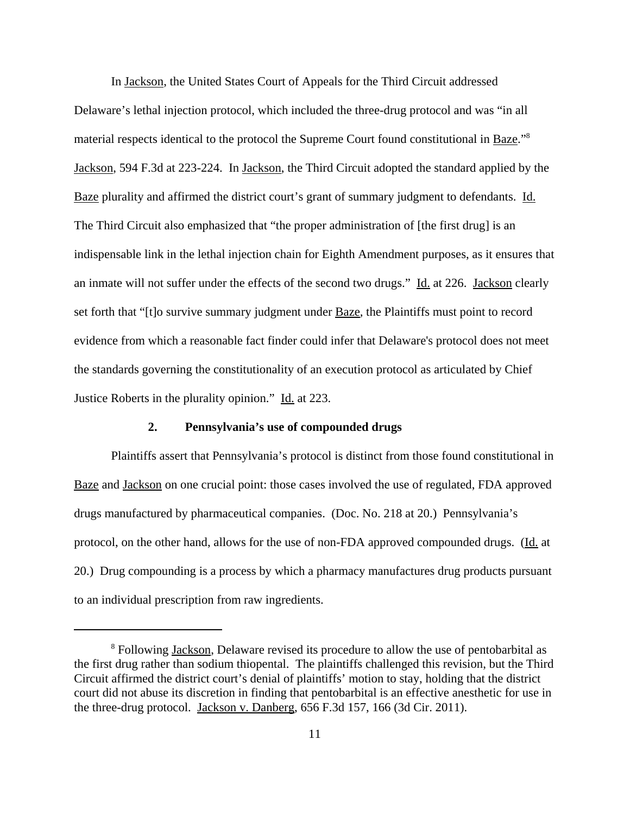In Jackson, the United States Court of Appeals for the Third Circuit addressed Delaware's lethal injection protocol, which included the three-drug protocol and was "in all material respects identical to the protocol the Supreme Court found constitutional in Baze."<sup>8</sup> Jackson, 594 F.3d at 223-224. In Jackson, the Third Circuit adopted the standard applied by the Baze plurality and affirmed the district court's grant of summary judgment to defendants. Id. The Third Circuit also emphasized that "the proper administration of [the first drug] is an indispensable link in the lethal injection chain for Eighth Amendment purposes, as it ensures that an inmate will not suffer under the effects of the second two drugs." Id. at 226. Jackson clearly set forth that "[t]o survive summary judgment under Baze*,* the Plaintiffs must point to record evidence from which a reasonable fact finder could infer that Delaware's protocol does not meet the standards governing the constitutionality of an execution protocol as articulated by Chief Justice Roberts in the plurality opinion." Id. at 223.

## **2. Pennsylvania's use of compounded drugs**

Plaintiffs assert that Pennsylvania's protocol is distinct from those found constitutional in Baze and Jackson on one crucial point: those cases involved the use of regulated, FDA approved drugs manufactured by pharmaceutical companies. (Doc. No. 218 at 20.) Pennsylvania's protocol, on the other hand, allows for the use of non-FDA approved compounded drugs. (Id. at 20.) Drug compounding is a process by which a pharmacy manufactures drug products pursuant to an individual prescription from raw ingredients.

<sup>&</sup>lt;sup>8</sup> Following Jackson, Delaware revised its procedure to allow the use of pentobarbital as the first drug rather than sodium thiopental. The plaintiffs challenged this revision, but the Third Circuit affirmed the district court's denial of plaintiffs' motion to stay, holding that the district court did not abuse its discretion in finding that pentobarbital is an effective anesthetic for use in the three-drug protocol. Jackson v. Danberg, 656 F.3d 157, 166 (3d Cir. 2011).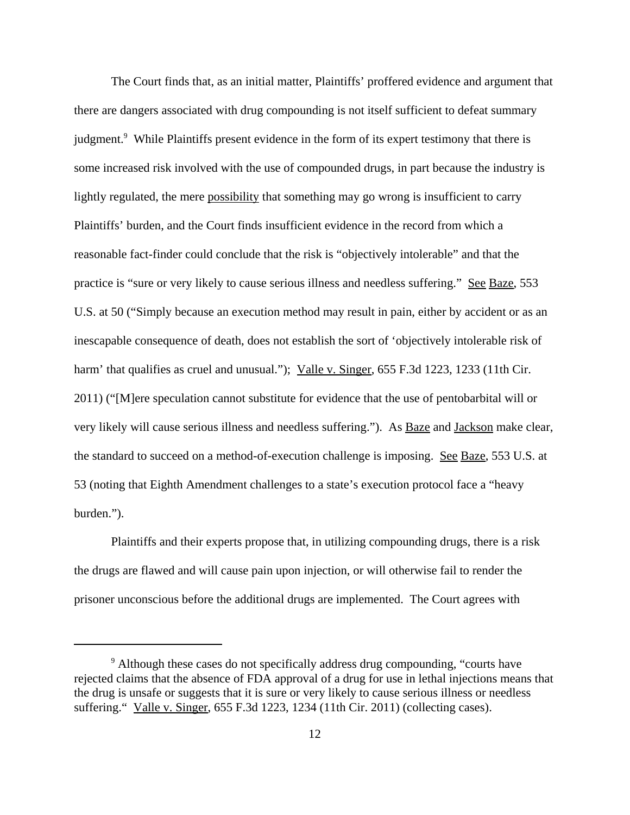The Court finds that, as an initial matter, Plaintiffs' proffered evidence and argument that there are dangers associated with drug compounding is not itself sufficient to defeat summary judgment.<sup>9</sup> While Plaintiffs present evidence in the form of its expert testimony that there is some increased risk involved with the use of compounded drugs, in part because the industry is lightly regulated, the mere possibility that something may go wrong is insufficient to carry Plaintiffs' burden, and the Court finds insufficient evidence in the record from which a reasonable fact-finder could conclude that the risk is "objectively intolerable" and that the practice is "sure or very likely to cause serious illness and needless suffering." See Baze, 553 U.S. at 50 ("Simply because an execution method may result in pain, either by accident or as an inescapable consequence of death, does not establish the sort of 'objectively intolerable risk of harm' that qualifies as cruel and unusual."); Valle v. Singer, 655 F.3d 1223, 1233 (11th Cir. 2011) ("[M]ere speculation cannot substitute for evidence that the use of pentobarbital will or very likely will cause serious illness and needless suffering."). As Baze and Jackson make clear, the standard to succeed on a method-of-execution challenge is imposing. See Baze, 553 U.S. at 53 (noting that Eighth Amendment challenges to a state's execution protocol face a "heavy burden.").

Plaintiffs and their experts propose that, in utilizing compounding drugs, there is a risk the drugs are flawed and will cause pain upon injection, or will otherwise fail to render the prisoner unconscious before the additional drugs are implemented. The Court agrees with

<sup>&</sup>lt;sup>9</sup> Although these cases do not specifically address drug compounding, "courts have rejected claims that the absence of FDA approval of a drug for use in lethal injections means that the drug is unsafe or suggests that it is sure or very likely to cause serious illness or needless suffering." Valle v. Singer, 655 F.3d 1223, 1234 (11th Cir. 2011) (collecting cases).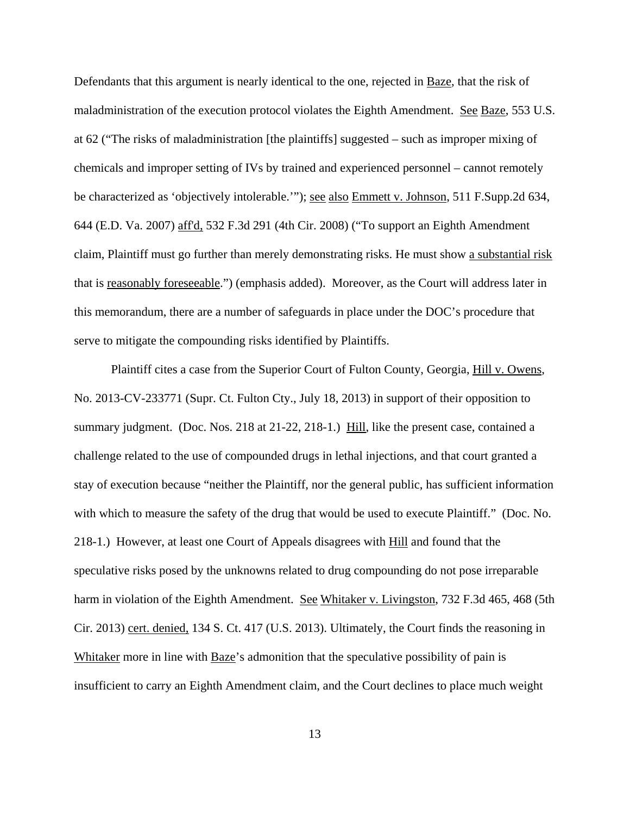Defendants that this argument is nearly identical to the one, rejected in Baze, that the risk of maladministration of the execution protocol violates the Eighth Amendment. See Baze, 553 U.S. at 62 ("The risks of maladministration [the plaintiffs] suggested – such as improper mixing of chemicals and improper setting of IVs by trained and experienced personnel – cannot remotely be characterized as 'objectively intolerable.'"); <u>see also Emmett v. Johnson</u>, 511 F.Supp.2d 634, 644 (E.D. Va. 2007) aff'd, 532 F.3d 291 (4th Cir. 2008) ("To support an Eighth Amendment claim, Plaintiff must go further than merely demonstrating risks. He must show a substantial risk that is reasonably foreseeable.") (emphasis added). Moreover, as the Court will address later in this memorandum, there are a number of safeguards in place under the DOC's procedure that serve to mitigate the compounding risks identified by Plaintiffs.

Plaintiff cites a case from the Superior Court of Fulton County, Georgia, Hill v. Owens, No. 2013-CV-233771 (Supr. Ct. Fulton Cty., July 18, 2013) in support of their opposition to summary judgment. (Doc. Nos. 218 at 21-22, 218-1.) Hill, like the present case, contained a challenge related to the use of compounded drugs in lethal injections, and that court granted a stay of execution because "neither the Plaintiff, nor the general public, has sufficient information with which to measure the safety of the drug that would be used to execute Plaintiff." (Doc. No. 218-1.) However, at least one Court of Appeals disagrees with Hill and found that the speculative risks posed by the unknowns related to drug compounding do not pose irreparable harm in violation of the Eighth Amendment. See Whitaker v. Livingston, 732 F.3d 465, 468 (5th Cir. 2013) cert. denied, 134 S. Ct. 417 (U.S. 2013). Ultimately, the Court finds the reasoning in Whitaker more in line with Baze's admonition that the speculative possibility of pain is insufficient to carry an Eighth Amendment claim, and the Court declines to place much weight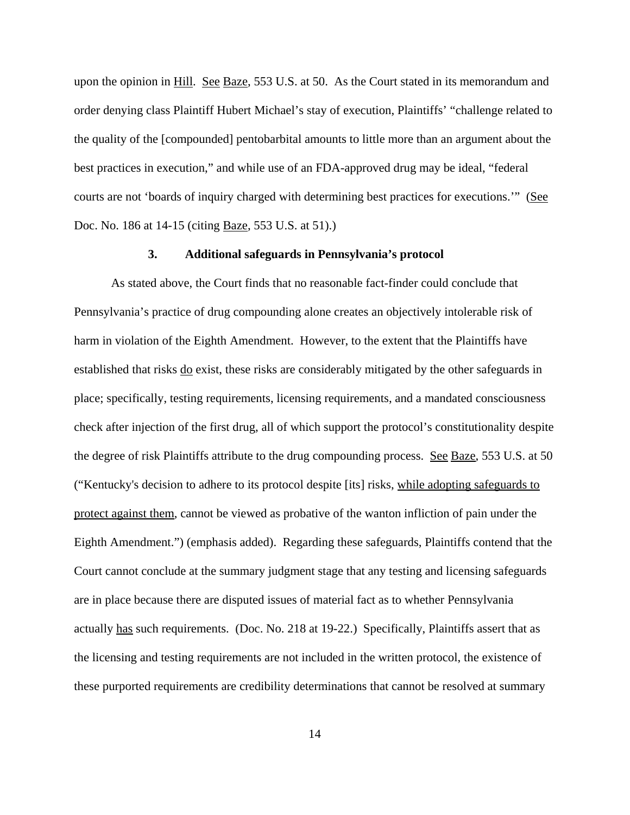upon the opinion in Hill. See Baze, 553 U.S. at 50. As the Court stated in its memorandum and order denying class Plaintiff Hubert Michael's stay of execution, Plaintiffs' "challenge related to the quality of the [compounded] pentobarbital amounts to little more than an argument about the best practices in execution," and while use of an FDA-approved drug may be ideal, "federal courts are not 'boards of inquiry charged with determining best practices for executions." (See Doc. No. 186 at 14-15 (citing Baze, 553 U.S. at 51).)

#### **3. Additional safeguards in Pennsylvania's protocol**

As stated above, the Court finds that no reasonable fact-finder could conclude that Pennsylvania's practice of drug compounding alone creates an objectively intolerable risk of harm in violation of the Eighth Amendment. However, to the extent that the Plaintiffs have established that risks do exist, these risks are considerably mitigated by the other safeguards in place; specifically, testing requirements, licensing requirements, and a mandated consciousness check after injection of the first drug, all of which support the protocol's constitutionality despite the degree of risk Plaintiffs attribute to the drug compounding process. See Baze, 553 U.S. at 50 ("Kentucky's decision to adhere to its protocol despite [its] risks, while adopting safeguards to protect against them, cannot be viewed as probative of the wanton infliction of pain under the Eighth Amendment.") (emphasis added). Regarding these safeguards, Plaintiffs contend that the Court cannot conclude at the summary judgment stage that any testing and licensing safeguards are in place because there are disputed issues of material fact as to whether Pennsylvania actually has such requirements. (Doc. No. 218 at 19-22.) Specifically, Plaintiffs assert that as the licensing and testing requirements are not included in the written protocol, the existence of these purported requirements are credibility determinations that cannot be resolved at summary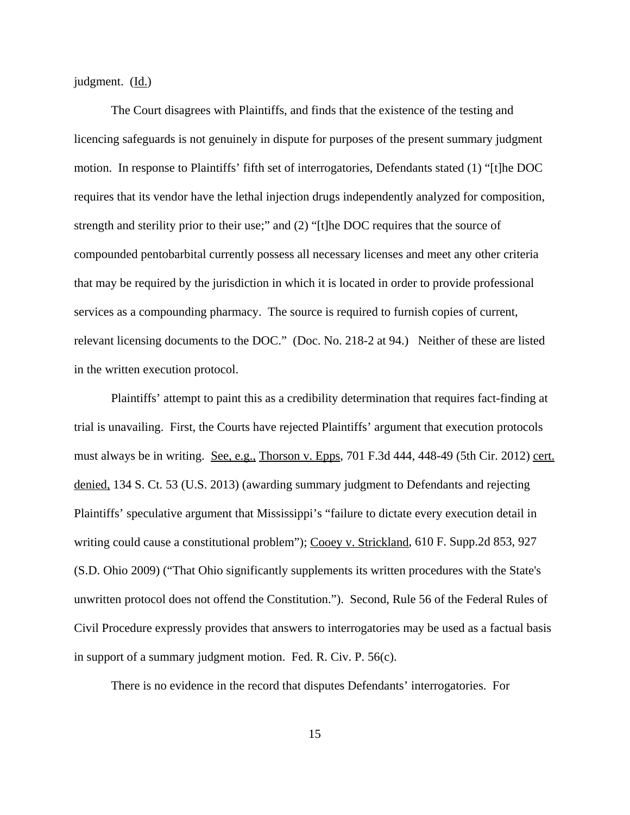judgment. (Id.)

The Court disagrees with Plaintiffs, and finds that the existence of the testing and licencing safeguards is not genuinely in dispute for purposes of the present summary judgment motion. In response to Plaintiffs' fifth set of interrogatories, Defendants stated (1) "[t]he DOC requires that its vendor have the lethal injection drugs independently analyzed for composition, strength and sterility prior to their use;" and (2) "[t]he DOC requires that the source of compounded pentobarbital currently possess all necessary licenses and meet any other criteria that may be required by the jurisdiction in which it is located in order to provide professional services as a compounding pharmacy. The source is required to furnish copies of current, relevant licensing documents to the DOC." (Doc. No. 218-2 at 94.) Neither of these are listed in the written execution protocol.

Plaintiffs' attempt to paint this as a credibility determination that requires fact-finding at trial is unavailing. First, the Courts have rejected Plaintiffs' argument that execution protocols must always be in writing. See, e.g., Thorson v. Epps, 701 F.3d 444, 448-49 (5th Cir. 2012) cert. denied, 134 S. Ct. 53 (U.S. 2013) (awarding summary judgment to Defendants and rejecting Plaintiffs' speculative argument that Mississippi's "failure to dictate every execution detail in writing could cause a constitutional problem"); Cooey v. Strickland, 610 F. Supp.2d 853, 927 (S.D. Ohio 2009) ("That Ohio significantly supplements its written procedures with the State's unwritten protocol does not offend the Constitution."). Second, Rule 56 of the Federal Rules of Civil Procedure expressly provides that answers to interrogatories may be used as a factual basis in support of a summary judgment motion. Fed. R. Civ. P. 56(c).

There is no evidence in the record that disputes Defendants' interrogatories. For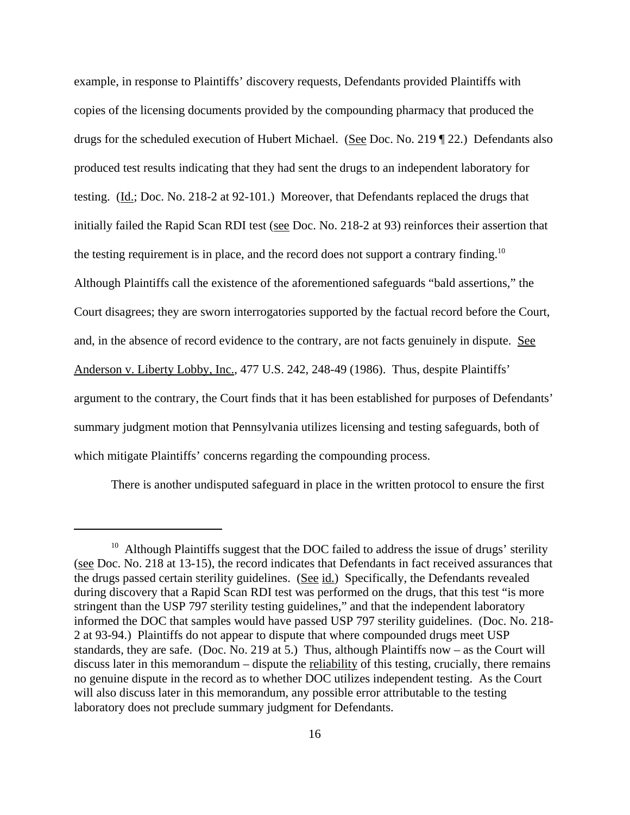example, in response to Plaintiffs' discovery requests, Defendants provided Plaintiffs with copies of the licensing documents provided by the compounding pharmacy that produced the drugs for the scheduled execution of Hubert Michael. (See Doc. No. 219 ¶ 22.) Defendants also produced test results indicating that they had sent the drugs to an independent laboratory for testing. (Id.; Doc. No. 218-2 at 92-101.) Moreover, that Defendants replaced the drugs that initially failed the Rapid Scan RDI test (see Doc. No. 218-2 at 93) reinforces their assertion that the testing requirement is in place, and the record does not support a contrary finding.<sup>10</sup> Although Plaintiffs call the existence of the aforementioned safeguards "bald assertions," the Court disagrees; they are sworn interrogatories supported by the factual record before the Court, and, in the absence of record evidence to the contrary, are not facts genuinely in dispute. See Anderson v. Liberty Lobby, Inc., 477 U.S. 242, 248-49 (1986). Thus, despite Plaintiffs' argument to the contrary, the Court finds that it has been established for purposes of Defendants' summary judgment motion that Pennsylvania utilizes licensing and testing safeguards, both of which mitigate Plaintiffs' concerns regarding the compounding process.

There is another undisputed safeguard in place in the written protocol to ensure the first

<sup>&</sup>lt;sup>10</sup> Although Plaintiffs suggest that the DOC failed to address the issue of drugs' sterility (see Doc. No. 218 at 13-15), the record indicates that Defendants in fact received assurances that the drugs passed certain sterility guidelines. (See id.) Specifically, the Defendants revealed during discovery that a Rapid Scan RDI test was performed on the drugs, that this test "is more stringent than the USP 797 sterility testing guidelines," and that the independent laboratory informed the DOC that samples would have passed USP 797 sterility guidelines. (Doc. No. 218- 2 at 93-94.) Plaintiffs do not appear to dispute that where compounded drugs meet USP standards, they are safe. (Doc. No. 219 at 5.) Thus, although Plaintiffs now – as the Court will discuss later in this memorandum – dispute the reliability of this testing, crucially, there remains no genuine dispute in the record as to whether DOC utilizes independent testing. As the Court will also discuss later in this memorandum, any possible error attributable to the testing laboratory does not preclude summary judgment for Defendants.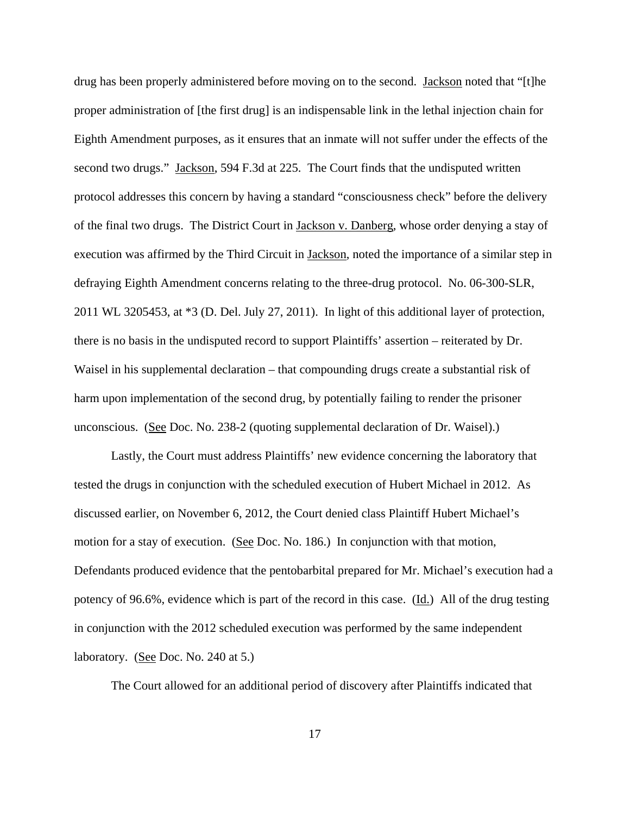drug has been properly administered before moving on to the second. Jackson noted that "[t]he proper administration of [the first drug] is an indispensable link in the lethal injection chain for Eighth Amendment purposes, as it ensures that an inmate will not suffer under the effects of the second two drugs." Jackson, 594 F.3d at 225. The Court finds that the undisputed written protocol addresses this concern by having a standard "consciousness check" before the delivery of the final two drugs. The District Court in Jackson v. Danberg, whose order denying a stay of execution was affirmed by the Third Circuit in Jackson, noted the importance of a similar step in defraying Eighth Amendment concerns relating to the three-drug protocol. No. 06-300-SLR, 2011 WL 3205453, at \*3 (D. Del. July 27, 2011). In light of this additional layer of protection, there is no basis in the undisputed record to support Plaintiffs' assertion – reiterated by Dr. Waisel in his supplemental declaration – that compounding drugs create a substantial risk of harm upon implementation of the second drug, by potentially failing to render the prisoner unconscious. (See Doc. No. 238-2 (quoting supplemental declaration of Dr. Waisel).)

Lastly, the Court must address Plaintiffs' new evidence concerning the laboratory that tested the drugs in conjunction with the scheduled execution of Hubert Michael in 2012. As discussed earlier, on November 6, 2012, the Court denied class Plaintiff Hubert Michael's motion for a stay of execution. (See Doc. No. 186.) In conjunction with that motion, Defendants produced evidence that the pentobarbital prepared for Mr. Michael's execution had a potency of 96.6%, evidence which is part of the record in this case. (Id.) All of the drug testing in conjunction with the 2012 scheduled execution was performed by the same independent laboratory. (See Doc. No. 240 at 5.)

The Court allowed for an additional period of discovery after Plaintiffs indicated that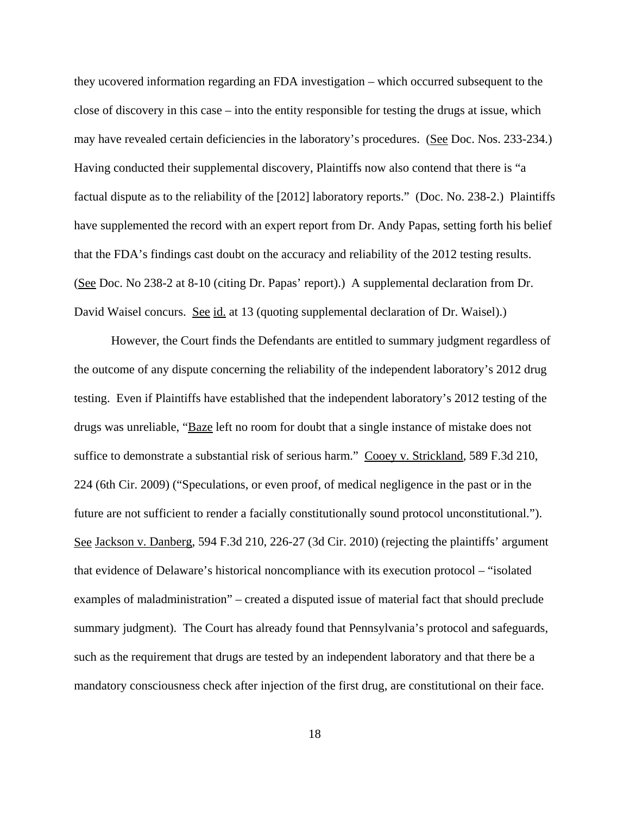they ucovered information regarding an FDA investigation – which occurred subsequent to the close of discovery in this case – into the entity responsible for testing the drugs at issue, which may have revealed certain deficiencies in the laboratory's procedures. (See Doc. Nos. 233-234.) Having conducted their supplemental discovery, Plaintiffs now also contend that there is "a factual dispute as to the reliability of the [2012] laboratory reports." (Doc. No. 238-2.) Plaintiffs have supplemented the record with an expert report from Dr. Andy Papas, setting forth his belief that the FDA's findings cast doubt on the accuracy and reliability of the 2012 testing results. (See Doc. No 238-2 at 8-10 (citing Dr. Papas' report).) A supplemental declaration from Dr. David Waisel concurs. See id. at 13 (quoting supplemental declaration of Dr. Waisel).)

However, the Court finds the Defendants are entitled to summary judgment regardless of the outcome of any dispute concerning the reliability of the independent laboratory's 2012 drug testing. Even if Plaintiffs have established that the independent laboratory's 2012 testing of the drugs was unreliable, "Baze left no room for doubt that a single instance of mistake does not suffice to demonstrate a substantial risk of serious harm." Cooey v. Strickland, 589 F.3d 210, 224 (6th Cir. 2009) ("Speculations, or even proof, of medical negligence in the past or in the future are not sufficient to render a facially constitutionally sound protocol unconstitutional."). See Jackson v. Danberg, 594 F.3d 210, 226-27 (3d Cir. 2010) (rejecting the plaintiffs' argument that evidence of Delaware's historical noncompliance with its execution protocol – "isolated examples of maladministration" – created a disputed issue of material fact that should preclude summary judgment). The Court has already found that Pennsylvania's protocol and safeguards, such as the requirement that drugs are tested by an independent laboratory and that there be a mandatory consciousness check after injection of the first drug, are constitutional on their face.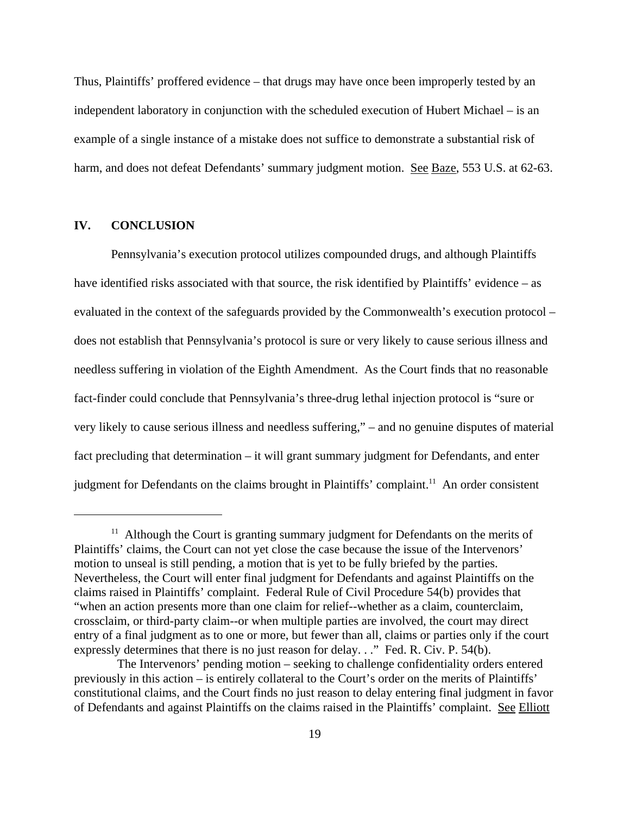Thus, Plaintiffs' proffered evidence – that drugs may have once been improperly tested by an independent laboratory in conjunction with the scheduled execution of Hubert Michael – is an example of a single instance of a mistake does not suffice to demonstrate a substantial risk of harm, and does not defeat Defendants' summary judgment motion. See Baze, 553 U.S. at 62-63.

## **IV. CONCLUSION**

Pennsylvania's execution protocol utilizes compounded drugs, and although Plaintiffs have identified risks associated with that source, the risk identified by Plaintiffs' evidence – as evaluated in the context of the safeguards provided by the Commonwealth's execution protocol – does not establish that Pennsylvania's protocol is sure or very likely to cause serious illness and needless suffering in violation of the Eighth Amendment. As the Court finds that no reasonable fact-finder could conclude that Pennsylvania's three-drug lethal injection protocol is "sure or very likely to cause serious illness and needless suffering," – and no genuine disputes of material fact precluding that determination – it will grant summary judgment for Defendants, and enter judgment for Defendants on the claims brought in Plaintiffs' complaint.<sup>11</sup> An order consistent

<sup>&</sup>lt;sup>11</sup> Although the Court is granting summary judgment for Defendants on the merits of Plaintiffs' claims, the Court can not yet close the case because the issue of the Intervenors' motion to unseal is still pending, a motion that is yet to be fully briefed by the parties. Nevertheless, the Court will enter final judgment for Defendants and against Plaintiffs on the claims raised in Plaintiffs' complaint. Federal Rule of Civil Procedure 54(b) provides that "when an action presents more than one claim for relief--whether as a claim, counterclaim, crossclaim, or third-party claim--or when multiple parties are involved, the court may direct entry of a final judgment as to one or more, but fewer than all, claims or parties only if the court expressly determines that there is no just reason for delay. . ." Fed. R. Civ. P. 54(b).

The Intervenors' pending motion – seeking to challenge confidentiality orders entered previously in this action – is entirely collateral to the Court's order on the merits of Plaintiffs' constitutional claims, and the Court finds no just reason to delay entering final judgment in favor of Defendants and against Plaintiffs on the claims raised in the Plaintiffs' complaint. See Elliott